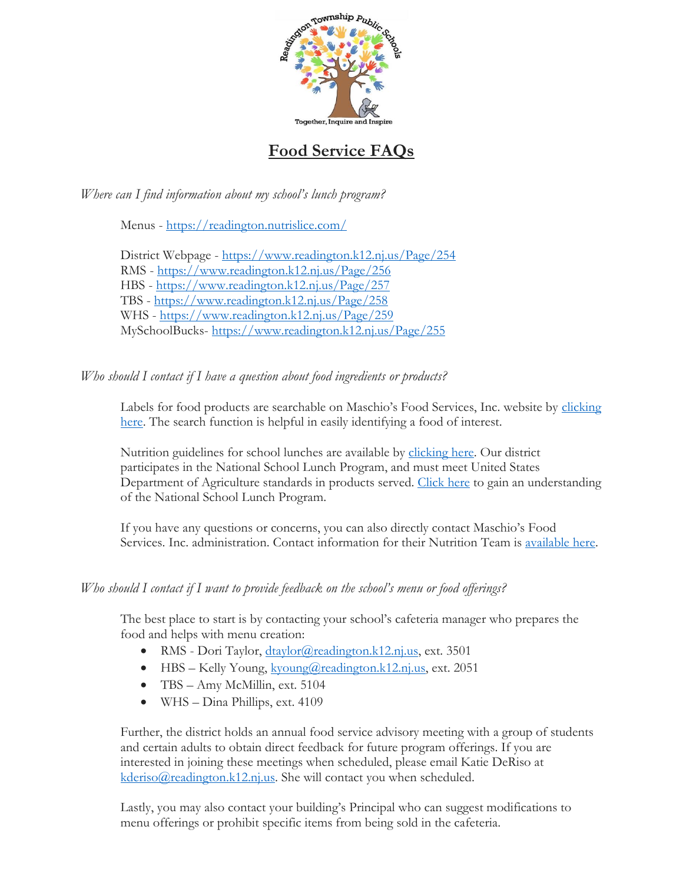

# **Food Service FAQs**

*Where can I find information about my school's lunch program?*

Menus - <https://readington.nutrislice.com/>

District Webpage - <https://www.readington.k12.nj.us/Page/254> RMS - <https://www.readington.k12.nj.us/Page/256> HBS - <https://www.readington.k12.nj.us/Page/257> TBS - <https://www.readington.k12.nj.us/Page/258> WHS - <https://www.readington.k12.nj.us/Page/259> MySchoolBucks- <https://www.readington.k12.nj.us/Page/255>

## *Who should I contact if I have a question about food ingredients or products?*

Labels for food products are searchable on Maschio's Food Services, Inc. website by clicking [here.](https://maschiofood.com/nutrition-labels/) The search function is helpful in easily identifying a food of interest.

Nutrition guidelines for school lunches are available by [clicking here.](https://maschiofood.com/nutrition-guidelines/) Our district participates in the National School Lunch Program, and must meet United States Department of Agriculture standards in products served. [Click here](https://fns-prod.azureedge.net/sites/default/files/resource-files/NSLPFactSheet.pdf) to gain an understanding of the National School Lunch Program.

If you have any questions or concerns, you can also directly contact Maschio's Food Services. Inc. administration. Contact information for their Nutrition Team is [available here.](https://maschiofood.com/nutrition-team/)

## *Who should I contact if I want to provide feedback on the school's menu or food offerings?*

The best place to start is by contacting your school's cafeteria manager who prepares the food and helps with menu creation:

- RMS Dori Taylor, [dtaylor@readington.k12.nj.us,](mailto:dtaylor@readington.k12.nj.us) ext. 3501
- HBS Kelly Young,  $kvoung@readington.k12.nj.us$ , ext. 2051
- TBS Amy McMillin, ext. 5104
- WHS Dina Phillips, ext. 4109

Further, the district holds an annual food service advisory meeting with a group of students and certain adults to obtain direct feedback for future program offerings. If you are interested in joining these meetings when scheduled, please email Katie DeRiso at [kderiso@readington.k12.nj.us.](mailto:kderiso@readington.k12.nj.us) She will contact you when scheduled.

Lastly, you may also contact your building's Principal who can suggest modifications to menu offerings or prohibit specific items from being sold in the cafeteria.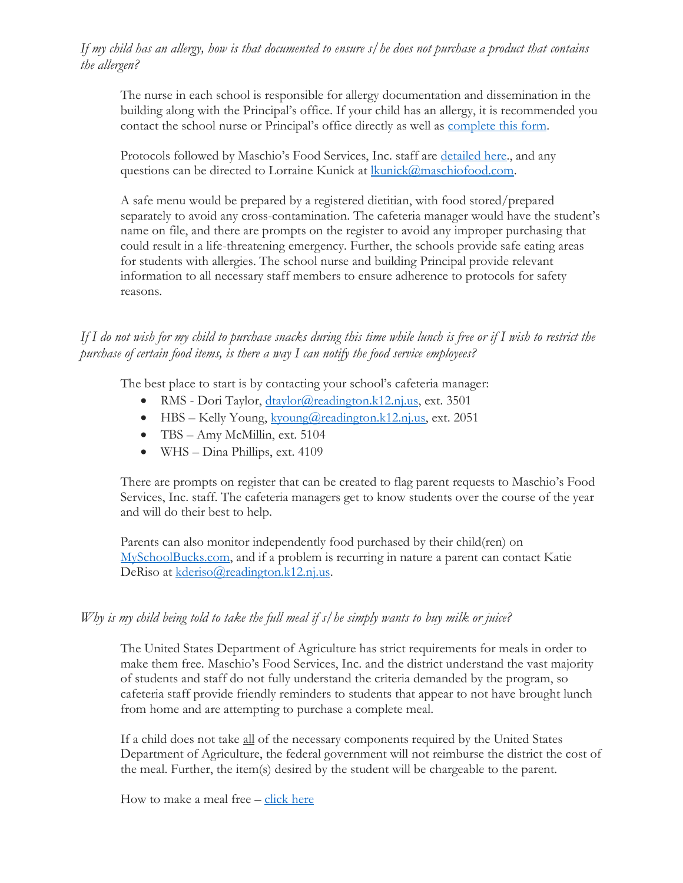## *If my child has an allergy, how is that documented to ensure s/he does not purchase a product that contains the allergen?*

The nurse in each school is responsible for allergy documentation and dissemination in the building along with the Principal's office. If your child has an allergy, it is recommended you contact the school nurse or Principal's office directly as well as [complete this form.](https://www.readington.k12.nj.us/cms/lib/NJ01000244/Centricity/Domain/32/Medical%20Request%20Food%20Allergy%20Intolerance%2020-21.pdf)

Protocols followed by Maschio's Food Services, Inc. staff are [detailed here.](https://maschiofood.com/food-allergy-management/), and any questions can be directed to Lorraine Kunick at [lkunick@maschiofood.com.](mailto:lkunick@maschiofood.com)

A safe menu would be prepared by a registered dietitian, with food stored/prepared separately to avoid any cross-contamination. The cafeteria manager would have the student's name on file, and there are prompts on the register to avoid any improper purchasing that could result in a life-threatening emergency. Further, the schools provide safe eating areas for students with allergies. The school nurse and building Principal provide relevant information to all necessary staff members to ensure adherence to protocols for safety reasons.

*If I do not wish for my child to purchase snacks during this time while lunch is free or if I wish to restrict the purchase of certain food items, is there a way I can notify the food service employees?*

The best place to start is by contacting your school's cafeteria manager:

- RMS Dori Taylor, [dtaylor@readington.k12.nj.us,](mailto:dtaylor@readington.k12.nj.us) ext. 3501
- HBS Kelly Young, [kyoung@readington.k12.nj.us,](mailto:kyoung@readington.k12.nj.us) ext. 2051
- TBS Amy McMillin, ext. 5104
- WHS Dina Phillips, ext. 4109

There are prompts on register that can be created to flag parent requests to Maschio's Food Services, Inc. staff. The cafeteria managers get to know students over the course of the year and will do their best to help.

Parents can also monitor independently food purchased by their child(ren) on [MySchoolBucks.com,](https://www.readington.k12.nj.us/Page/255) and if a problem is recurring in nature a parent can contact Katie DeRiso at [kderiso@readington.k12.nj.us.](mailto:kderiso@readington.k12.nj.us)

#### *Why is my child being told to take the full meal if s/he simply wants to buy milk or juice?*

The United States Department of Agriculture has strict requirements for meals in order to make them free. Maschio's Food Services, Inc. and the district understand the vast majority of students and staff do not fully understand the criteria demanded by the program, so cafeteria staff provide friendly reminders to students that appear to not have brought lunch from home and are attempting to purchase a complete meal.

If a child does not take all of the necessary components required by the United States Department of Agriculture, the federal government will not reimburse the district the cost of the meal. Further, the item(s) desired by the student will be chargeable to the parent.

How to make a meal free – [click here](https://www.readington.k12.nj.us/cms/lib/NJ01000244/Centricity/Domain/32/21-22%20Make%20it%20a%20FREE%20MEAL.pdf)